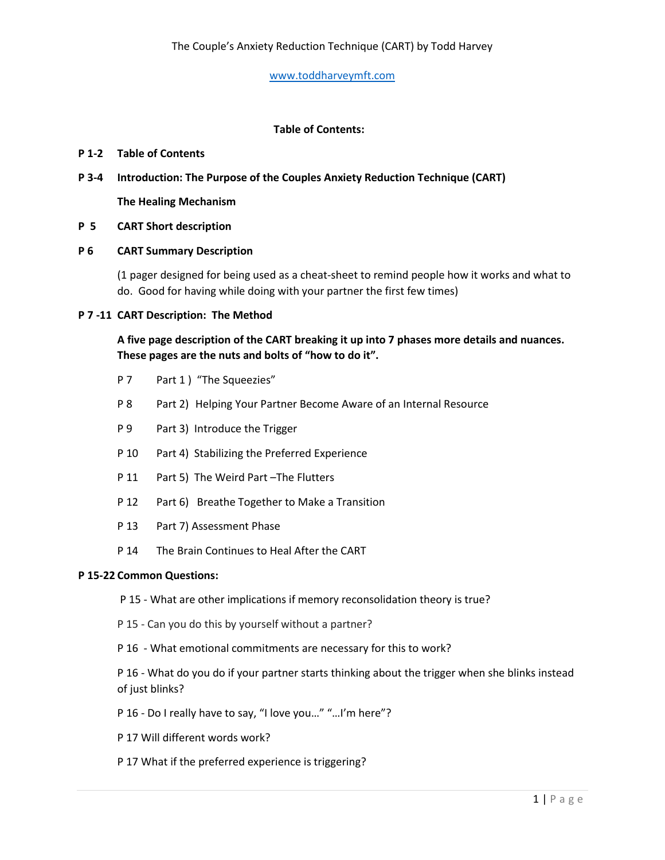# **Table of Contents:**

### **P 1-2 Table of Contents**

**P 3-4 Introduction: The Purpose of the Couples Anxiety Reduction Technique (CART)**

**The Healing Mechanism**

## **P 5 CART Short description**

## **P 6 CART Summary Description**

(1 pager designed for being used as a cheat-sheet to remind people how it works and what to do. Good for having while doing with your partner the first few times)

#### **P 7 -11 CART Description: The Method**

**A five page description of the CART breaking it up into 7 phases more details and nuances. These pages are the nuts and bolts of "how to do it".**

- P 7 Part 1 ) "The Squeezies"
- P 8 Part 2) Helping Your Partner Become Aware of an Internal Resource
- P 9 Part 3) Introduce the Trigger
- P 10 Part 4) Stabilizing the Preferred Experience
- P 11 Part 5) The Weird Part The Flutters
- P 12 Part 6) Breathe Together to Make a Transition
- P 13 Part 7) Assessment Phase
- P 14 The Brain Continues to Heal After the CART

#### **P 15-22 Common Questions:**

- P 15 What are other implications if memory reconsolidation theory is true?
- P 15 Can you do this by yourself without a partner?
- P 16 What emotional commitments are necessary for this to work?

P 16 - What do you do if your partner starts thinking about the trigger when she blinks instead of just blinks?

- P 16 Do I really have to say, "I love you…" "…I'm here"?
- P 17 Will different words work?
- P 17 What if the preferred experience is triggering?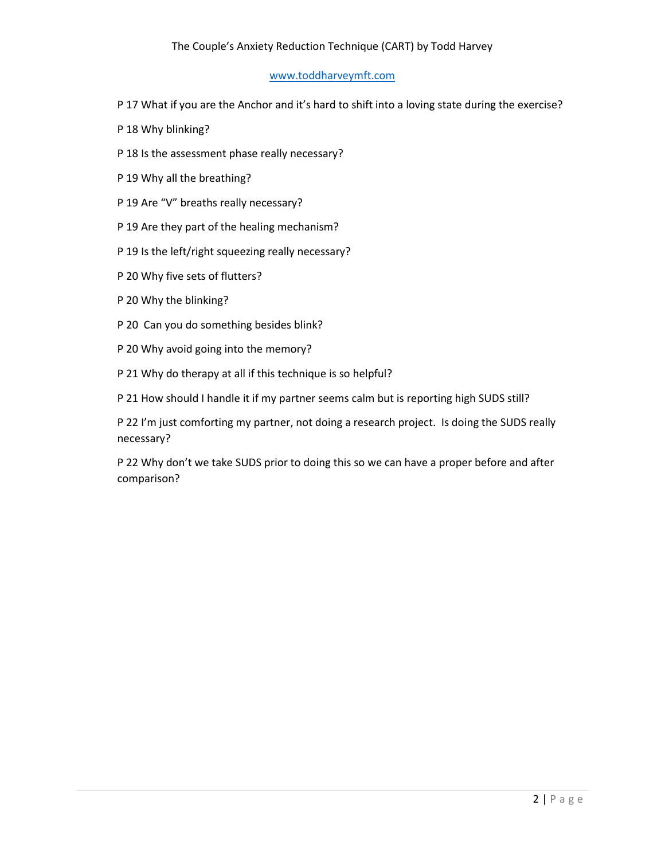# The Couple's Anxiety Reduction Technique (CART) by Todd Harvey

### [www.toddharveymft.com](http://www.toddharveymft.com/)

- P 17 What if you are the Anchor and it's hard to shift into a loving state during the exercise?
- P 18 Why blinking?
- P 18 Is the assessment phase really necessary?
- P 19 Why all the breathing?
- P 19 Are "V" breaths really necessary?
- P 19 Are they part of the healing mechanism?
- P 19 Is the left/right squeezing really necessary?
- P 20 Why five sets of flutters?
- P 20 Why the blinking?
- P 20 Can you do something besides blink?
- P 20 Why avoid going into the memory?
- P 21 Why do therapy at all if this technique is so helpful?
- P 21 How should I handle it if my partner seems calm but is reporting high SUDS still?
- P 22 I'm just comforting my partner, not doing a research project. Is doing the SUDS really necessary?
- P 22 Why don't we take SUDS prior to doing this so we can have a proper before and after comparison?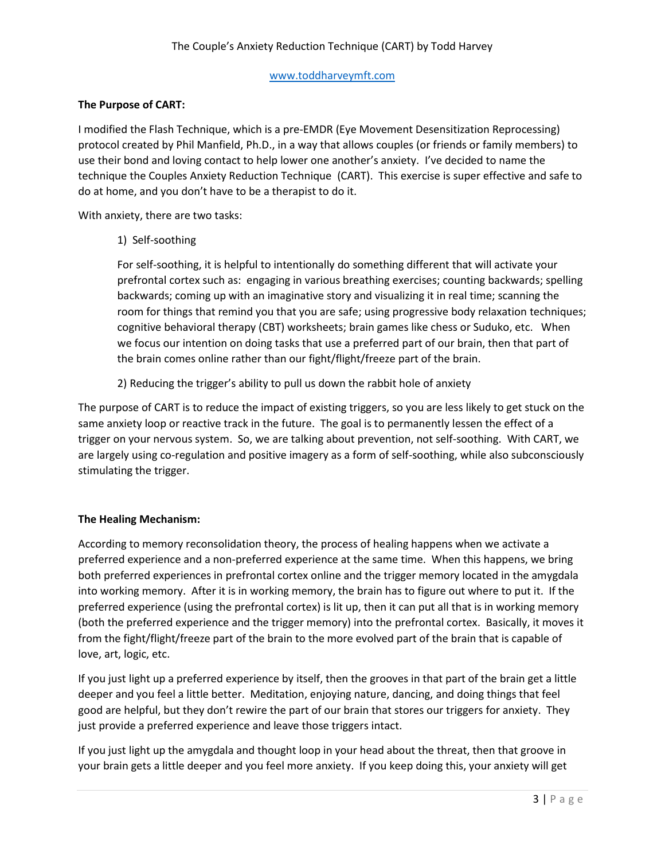# **The Purpose of CART:**

I modified the Flash Technique, which is a pre-EMDR (Eye Movement Desensitization Reprocessing) protocol created by Phil Manfield, Ph.D., in a way that allows couples (or friends or family members) to use their bond and loving contact to help lower one another's anxiety. I've decided to name the technique the Couples Anxiety Reduction Technique (CART). This exercise is super effective and safe to do at home, and you don't have to be a therapist to do it.

With anxiety, there are two tasks:

1) Self-soothing

For self-soothing, it is helpful to intentionally do something different that will activate your prefrontal cortex such as: engaging in various breathing exercises; counting backwards; spelling backwards; coming up with an imaginative story and visualizing it in real time; scanning the room for things that remind you that you are safe; using progressive body relaxation techniques; cognitive behavioral therapy (CBT) worksheets; brain games like chess or Suduko, etc. When we focus our intention on doing tasks that use a preferred part of our brain, then that part of the brain comes online rather than our fight/flight/freeze part of the brain.

2) Reducing the trigger's ability to pull us down the rabbit hole of anxiety

The purpose of CART is to reduce the impact of existing triggers, so you are less likely to get stuck on the same anxiety loop or reactive track in the future. The goal is to permanently lessen the effect of a trigger on your nervous system. So, we are talking about prevention, not self-soothing. With CART, we are largely using co-regulation and positive imagery as a form of self-soothing, while also subconsciously stimulating the trigger.

## **The Healing Mechanism:**

According to memory reconsolidation theory, the process of healing happens when we activate a preferred experience and a non-preferred experience at the same time. When this happens, we bring both preferred experiences in prefrontal cortex online and the trigger memory located in the amygdala into working memory. After it is in working memory, the brain has to figure out where to put it. If the preferred experience (using the prefrontal cortex) is lit up, then it can put all that is in working memory (both the preferred experience and the trigger memory) into the prefrontal cortex. Basically, it moves it from the fight/flight/freeze part of the brain to the more evolved part of the brain that is capable of love, art, logic, etc.

If you just light up a preferred experience by itself, then the grooves in that part of the brain get a little deeper and you feel a little better. Meditation, enjoying nature, dancing, and doing things that feel good are helpful, but they don't rewire the part of our brain that stores our triggers for anxiety. They just provide a preferred experience and leave those triggers intact.

If you just light up the amygdala and thought loop in your head about the threat, then that groove in your brain gets a little deeper and you feel more anxiety. If you keep doing this, your anxiety will get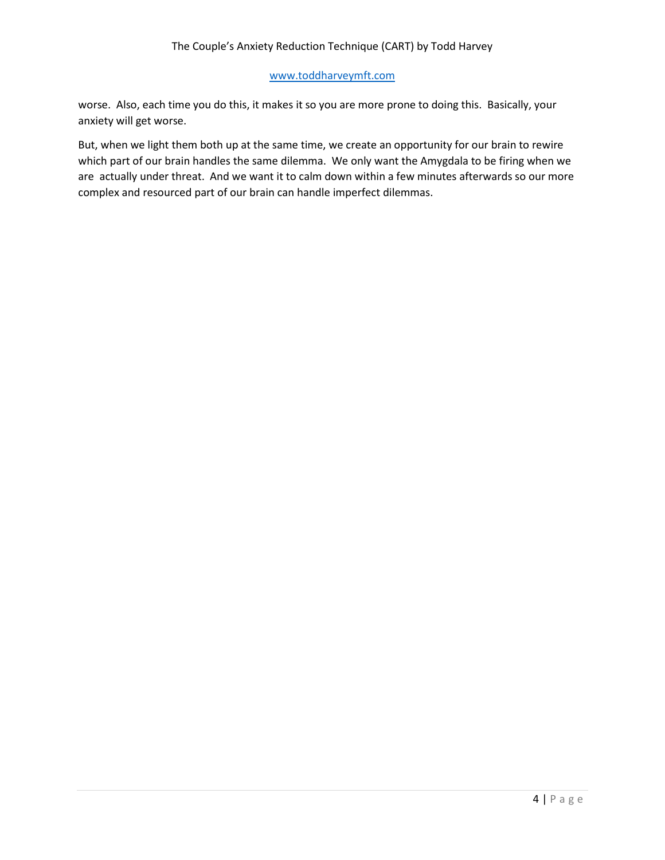worse. Also, each time you do this, it makes it so you are more prone to doing this. Basically, your anxiety will get worse.

But, when we light them both up at the same time, we create an opportunity for our brain to rewire which part of our brain handles the same dilemma. We only want the Amygdala to be firing when we are actually under threat. And we want it to calm down within a few minutes afterwards so our more complex and resourced part of our brain can handle imperfect dilemmas.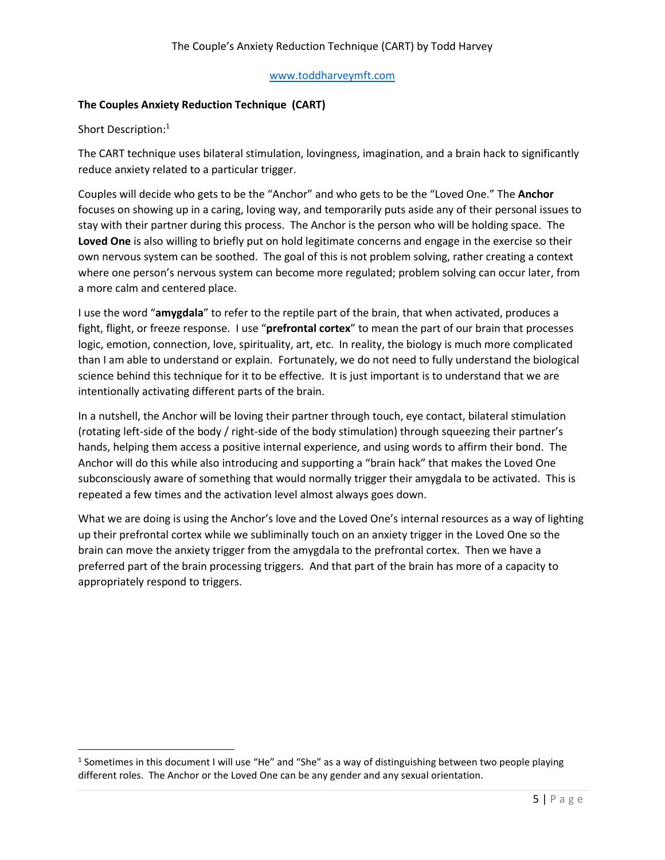# **The Couples Anxiety Reduction Technique (CART)**

Short Description:<sup>1</sup>

The CART technique uses bilateral stimulation, lovingness, imagination, and a brain hack to significantly reduce anxiety related to a particular trigger.

Couples will decide who gets to be the "Anchor" and who gets to be the "Loved One." The **Anchor** focuses on showing up in a caring, loving way, and temporarily puts aside any of their personal issues to stay with their partner during this process. The Anchor is the person who will be holding space. The **Loved One** is also willing to briefly put on hold legitimate concerns and engage in the exercise so their own nervous system can be soothed. The goal of this is not problem solving, rather creating a context where one person's nervous system can become more regulated; problem solving can occur later, from a more calm and centered place.

I use the word "**amygdala**" to refer to the reptile part of the brain, that when activated, produces a fight, flight, or freeze response. I use "**prefrontal cortex**" to mean the part of our brain that processes logic, emotion, connection, love, spirituality, art, etc. In reality, the biology is much more complicated than I am able to understand or explain. Fortunately, we do not need to fully understand the biological science behind this technique for it to be effective. It is just important is to understand that we are intentionally activating different parts of the brain.

In a nutshell, the Anchor will be loving their partner through touch, eye contact, bilateral stimulation (rotating left-side of the body / right-side of the body stimulation) through squeezing their partner's hands, helping them access a positive internal experience, and using words to affirm their bond. The Anchor will do this while also introducing and supporting a "brain hack" that makes the Loved One subconsciously aware of something that would normally trigger their amygdala to be activated. This is repeated a few times and the activation level almost always goes down.

What we are doing is using the Anchor's love and the Loved One's internal resources as a way of lighting up their prefrontal cortex while we subliminally touch on an anxiety trigger in the Loved One so the brain can move the anxiety trigger from the amygdala to the prefrontal cortex. Then we have a preferred part of the brain processing triggers. And that part of the brain has more of a capacity to appropriately respond to triggers.

<sup>&</sup>lt;sup>1</sup> Sometimes in this document I will use "He" and "She" as a way of distinguishing between two people playing different roles. The Anchor or the Loved One can be any gender and any sexual orientation.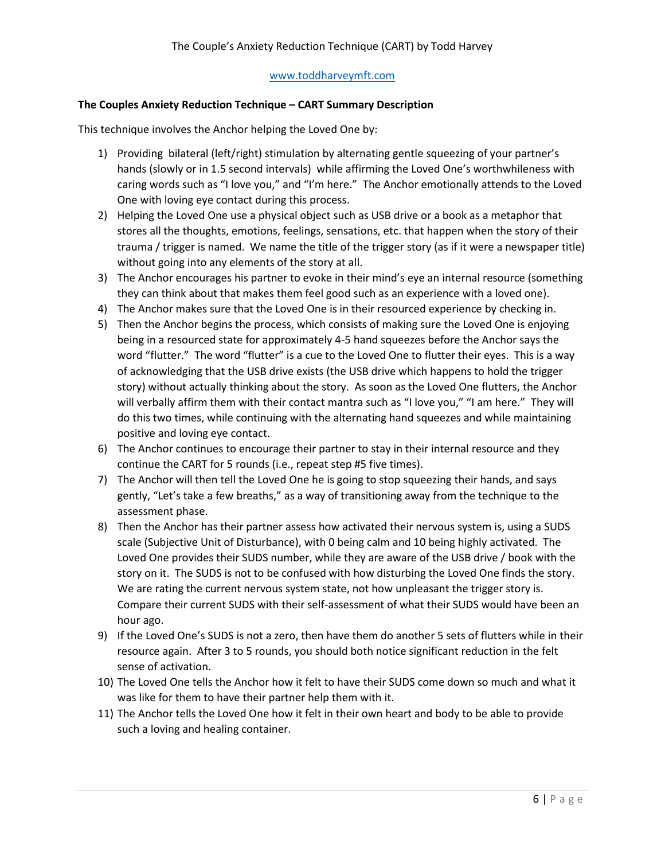# **The Couples Anxiety Reduction Technique – CART Summary Description**

This technique involves the Anchor helping the Loved One by:

- 1) Providing bilateral (left/right) stimulation by alternating gentle squeezing of your partner's hands (slowly or in 1.5 second intervals) while affirming the Loved One's worthwhileness with caring words such as "I love you," and "I'm here." The Anchor emotionally attends to the Loved One with loving eye contact during this process.
- 2) Helping the Loved One use a physical object such as USB drive or a book as a metaphor that stores all the thoughts, emotions, feelings, sensations, etc. that happen when the story of their trauma / trigger is named. We name the title of the trigger story (as if it were a newspaper title) without going into any elements of the story at all.
- 3) The Anchor encourages his partner to evoke in their mind's eye an internal resource (something they can think about that makes them feel good such as an experience with a loved one).
- 4) The Anchor makes sure that the Loved One is in their resourced experience by checking in.
- 5) Then the Anchor begins the process, which consists of making sure the Loved One is enjoying being in a resourced state for approximately 4-5 hand squeezes before the Anchor says the word "flutter." The word "flutter" is a cue to the Loved One to flutter their eyes. This is a way of acknowledging that the USB drive exists (the USB drive which happens to hold the trigger story) without actually thinking about the story. As soon as the Loved One flutters, the Anchor will verbally affirm them with their contact mantra such as "I love you," "I am here." They will do this two times, while continuing with the alternating hand squeezes and while maintaining positive and loving eye contact.
- 6) The Anchor continues to encourage their partner to stay in their internal resource and they continue the CART for 5 rounds (i.e., repeat step #5 five times).
- 7) The Anchor will then tell the Loved One he is going to stop squeezing their hands, and says gently, "Let's take a few breaths," as a way of transitioning away from the technique to the assessment phase.
- 8) Then the Anchor has their partner assess how activated their nervous system is, using a SUDS scale (Subjective Unit of Disturbance), with 0 being calm and 10 being highly activated. The Loved One provides their SUDS number, while they are aware of the USB drive / book with the story on it. The SUDS is not to be confused with how disturbing the Loved One finds the story. We are rating the current nervous system state, not how unpleasant the trigger story is. Compare their current SUDS with their self-assessment of what their SUDS would have been an hour ago.
- 9) If the Loved One's SUDS is not a zero, then have them do another 5 sets of flutters while in their resource again. After 3 to 5 rounds, you should both notice significant reduction in the felt sense of activation.
- 10) The Loved One tells the Anchor how it felt to have their SUDS come down so much and what it was like for them to have their partner help them with it.
- 11) The Anchor tells the Loved One how it felt in their own heart and body to be able to provide such a loving and healing container.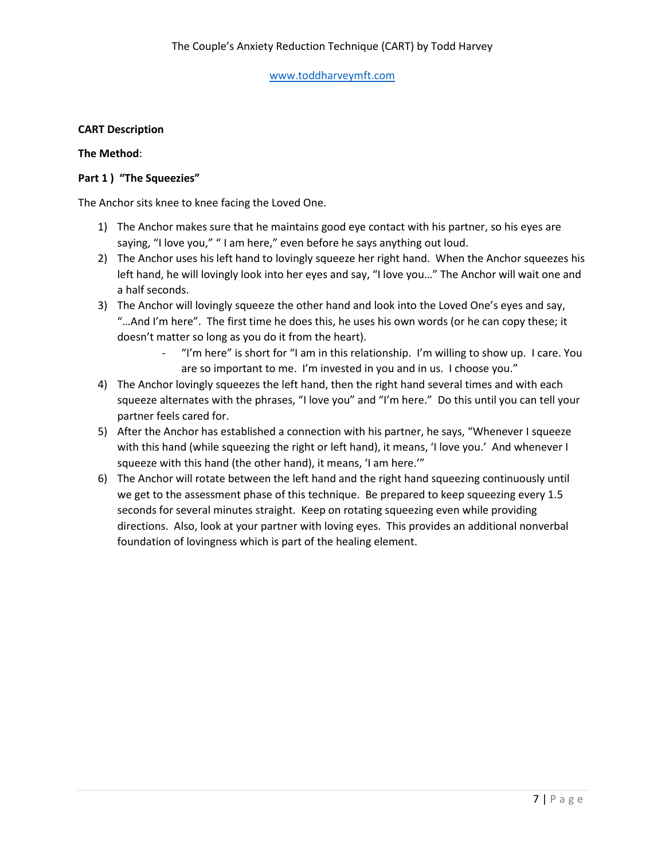# **CART Description**

# **The Method**:

# **Part 1 ) "The Squeezies"**

The Anchor sits knee to knee facing the Loved One.

- 1) The Anchor makes sure that he maintains good eye contact with his partner, so his eyes are saying, "I love you," " I am here," even before he says anything out loud.
- 2) The Anchor uses his left hand to lovingly squeeze her right hand. When the Anchor squeezes his left hand, he will lovingly look into her eyes and say, "I love you…" The Anchor will wait one and a half seconds.
- 3) The Anchor will lovingly squeeze the other hand and look into the Loved One's eyes and say, "…And I'm here". The first time he does this, he uses his own words (or he can copy these; it doesn't matter so long as you do it from the heart).
	- "I'm here" is short for "I am in this relationship. I'm willing to show up. I care. You are so important to me. I'm invested in you and in us. I choose you."
- 4) The Anchor lovingly squeezes the left hand, then the right hand several times and with each squeeze alternates with the phrases, "I love you" and "I'm here." Do this until you can tell your partner feels cared for.
- 5) After the Anchor has established a connection with his partner, he says, "Whenever I squeeze with this hand (while squeezing the right or left hand), it means, 'I love you.' And whenever I squeeze with this hand (the other hand), it means, 'I am here.'"
- 6) The Anchor will rotate between the left hand and the right hand squeezing continuously until we get to the assessment phase of this technique. Be prepared to keep squeezing every 1.5 seconds for several minutes straight. Keep on rotating squeezing even while providing directions. Also, look at your partner with loving eyes. This provides an additional nonverbal foundation of lovingness which is part of the healing element.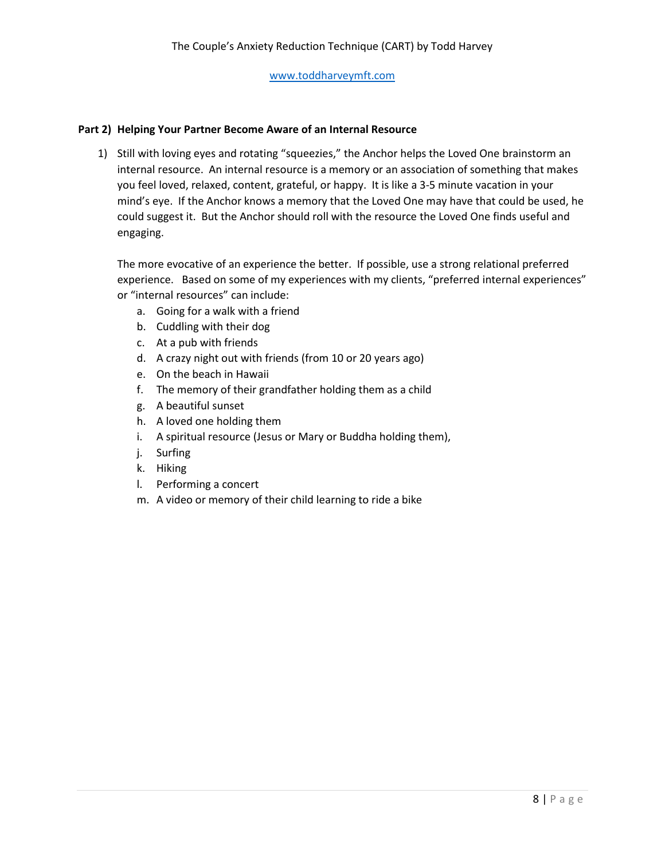### **Part 2) Helping Your Partner Become Aware of an Internal Resource**

1) Still with loving eyes and rotating "squeezies," the Anchor helps the Loved One brainstorm an internal resource. An internal resource is a memory or an association of something that makes you feel loved, relaxed, content, grateful, or happy. It is like a 3-5 minute vacation in your mind's eye. If the Anchor knows a memory that the Loved One may have that could be used, he could suggest it. But the Anchor should roll with the resource the Loved One finds useful and engaging.

The more evocative of an experience the better. If possible, use a strong relational preferred experience. Based on some of my experiences with my clients, "preferred internal experiences" or "internal resources" can include:

- a. Going for a walk with a friend
- b. Cuddling with their dog
- c. At a pub with friends
- d. A crazy night out with friends (from 10 or 20 years ago)
- e. On the beach in Hawaii
- f. The memory of their grandfather holding them as a child
- g. A beautiful sunset
- h. A loved one holding them
- i. A spiritual resource (Jesus or Mary or Buddha holding them),
- j. Surfing
- k. Hiking
- l. Performing a concert
- m. A video or memory of their child learning to ride a bike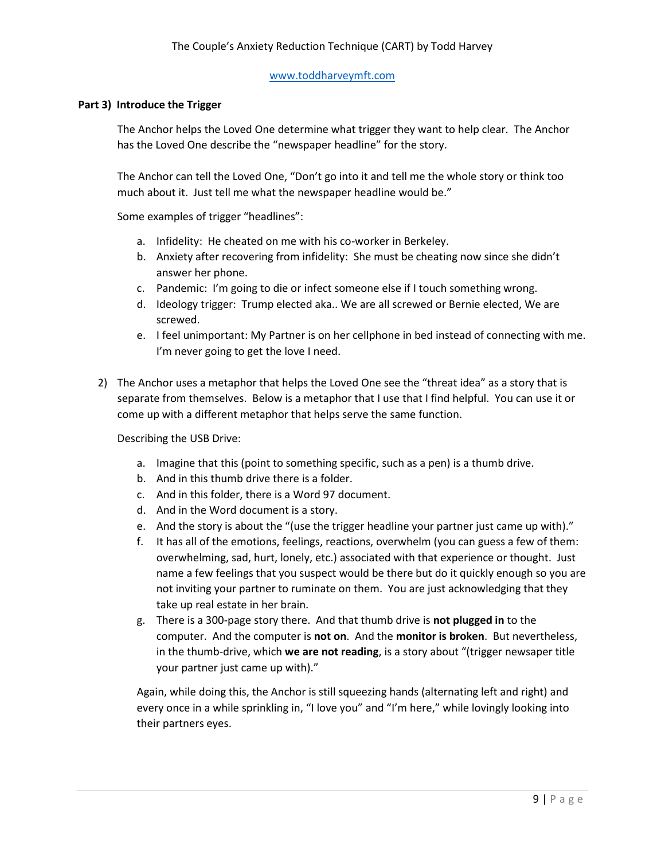#### **Part 3) Introduce the Trigger**

The Anchor helps the Loved One determine what trigger they want to help clear. The Anchor has the Loved One describe the "newspaper headline" for the story.

The Anchor can tell the Loved One, "Don't go into it and tell me the whole story or think too much about it. Just tell me what the newspaper headline would be."

Some examples of trigger "headlines":

- a. Infidelity: He cheated on me with his co-worker in Berkeley.
- b. Anxiety after recovering from infidelity: She must be cheating now since she didn't answer her phone.
- c. Pandemic: I'm going to die or infect someone else if I touch something wrong.
- d. Ideology trigger: Trump elected aka.. We are all screwed or Bernie elected, We are screwed.
- e. I feel unimportant: My Partner is on her cellphone in bed instead of connecting with me. I'm never going to get the love I need.
- 2) The Anchor uses a metaphor that helps the Loved One see the "threat idea" as a story that is separate from themselves. Below is a metaphor that I use that I find helpful. You can use it or come up with a different metaphor that helps serve the same function.

Describing the USB Drive:

- a. Imagine that this (point to something specific, such as a pen) is a thumb drive.
- b. And in this thumb drive there is a folder.
- c. And in this folder, there is a Word 97 document.
- d. And in the Word document is a story.
- e. And the story is about the "(use the trigger headline your partner just came up with)."
- f. It has all of the emotions, feelings, reactions, overwhelm (you can guess a few of them: overwhelming, sad, hurt, lonely, etc.) associated with that experience or thought. Just name a few feelings that you suspect would be there but do it quickly enough so you are not inviting your partner to ruminate on them. You are just acknowledging that they take up real estate in her brain.
- g. There is a 300-page story there. And that thumb drive is **not plugged in** to the computer. And the computer is **not on**. And the **monitor is broken**. But nevertheless, in the thumb-drive, which **we are not reading**, is a story about "(trigger newsaper title your partner just came up with)."

Again, while doing this, the Anchor is still squeezing hands (alternating left and right) and every once in a while sprinkling in, "I love you" and "I'm here," while lovingly looking into their partners eyes.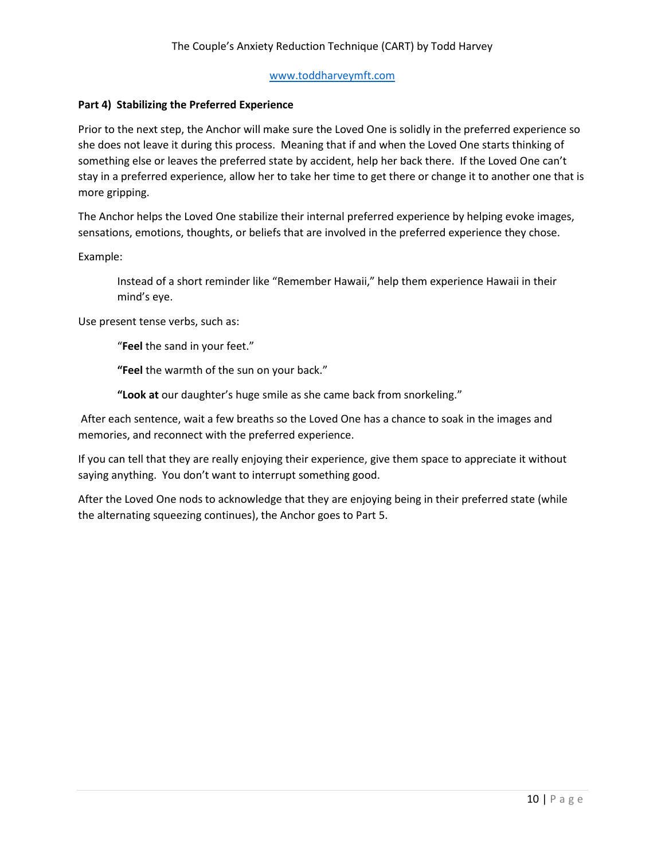# **Part 4) Stabilizing the Preferred Experience**

Prior to the next step, the Anchor will make sure the Loved One is solidly in the preferred experience so she does not leave it during this process. Meaning that if and when the Loved One starts thinking of something else or leaves the preferred state by accident, help her back there. If the Loved One can't stay in a preferred experience, allow her to take her time to get there or change it to another one that is more gripping.

The Anchor helps the Loved One stabilize their internal preferred experience by helping evoke images, sensations, emotions, thoughts, or beliefs that are involved in the preferred experience they chose.

Example:

Instead of a short reminder like "Remember Hawaii," help them experience Hawaii in their mind's eye.

Use present tense verbs, such as:

"**Feel** the sand in your feet."

**"Feel** the warmth of the sun on your back."

**"Look at** our daughter's huge smile as she came back from snorkeling."

After each sentence, wait a few breaths so the Loved One has a chance to soak in the images and memories, and reconnect with the preferred experience.

If you can tell that they are really enjoying their experience, give them space to appreciate it without saying anything. You don't want to interrupt something good.

After the Loved One nods to acknowledge that they are enjoying being in their preferred state (while the alternating squeezing continues), the Anchor goes to Part 5.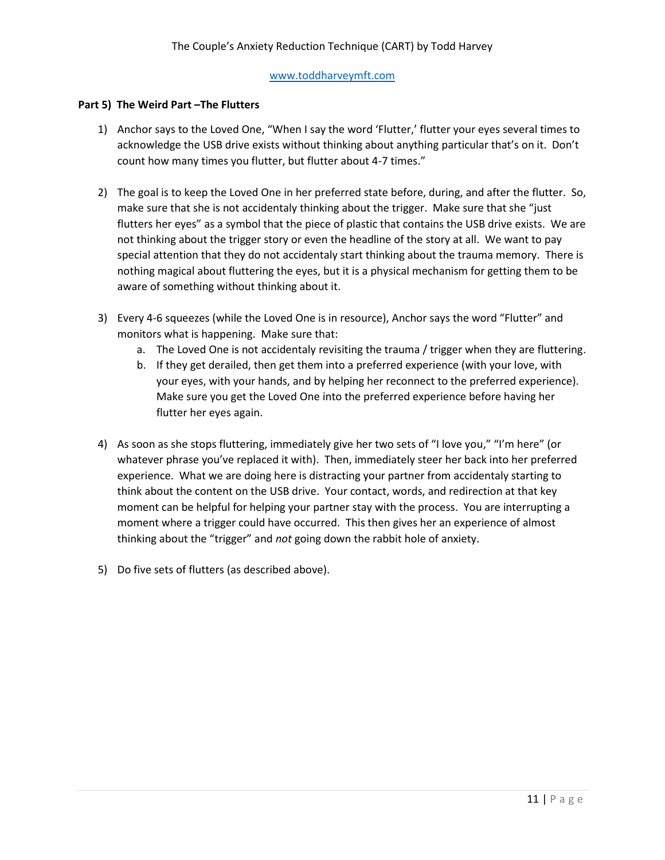## **Part 5) The Weird Part –The Flutters**

- 1) Anchor says to the Loved One, "When I say the word 'Flutter,' flutter your eyes several times to acknowledge the USB drive exists without thinking about anything particular that's on it. Don't count how many times you flutter, but flutter about 4-7 times."
- 2) The goal is to keep the Loved One in her preferred state before, during, and after the flutter. So, make sure that she is not accidentaly thinking about the trigger. Make sure that she "just flutters her eyes" as a symbol that the piece of plastic that contains the USB drive exists. We are not thinking about the trigger story or even the headline of the story at all. We want to pay special attention that they do not accidentaly start thinking about the trauma memory. There is nothing magical about fluttering the eyes, but it is a physical mechanism for getting them to be aware of something without thinking about it.
- 3) Every 4-6 squeezes (while the Loved One is in resource), Anchor says the word "Flutter" and monitors what is happening. Make sure that:
	- a. The Loved One is not accidentaly revisiting the trauma / trigger when they are fluttering.
	- b. If they get derailed, then get them into a preferred experience (with your love, with your eyes, with your hands, and by helping her reconnect to the preferred experience). Make sure you get the Loved One into the preferred experience before having her flutter her eyes again.
- 4) As soon as she stops fluttering, immediately give her two sets of "I love you," "I'm here" (or whatever phrase you've replaced it with). Then, immediately steer her back into her preferred experience. What we are doing here is distracting your partner from accidentaly starting to think about the content on the USB drive. Your contact, words, and redirection at that key moment can be helpful for helping your partner stay with the process. You are interrupting a moment where a trigger could have occurred. This then gives her an experience of almost thinking about the "trigger" and *not* going down the rabbit hole of anxiety.
- 5) Do five sets of flutters (as described above).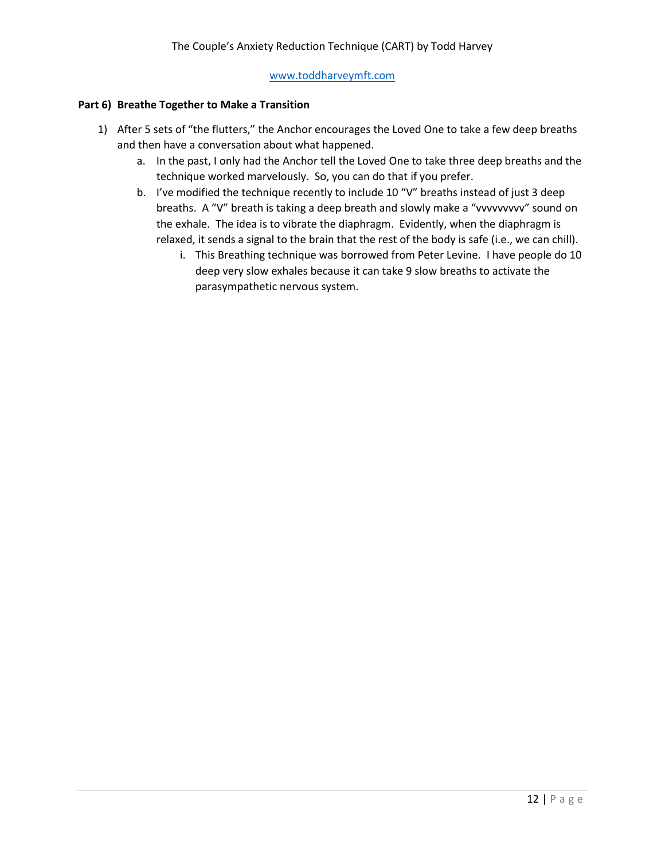#### **Part 6) Breathe Together to Make a Transition**

- 1) After 5 sets of "the flutters," the Anchor encourages the Loved One to take a few deep breaths and then have a conversation about what happened.
	- a. In the past, I only had the Anchor tell the Loved One to take three deep breaths and the technique worked marvelously. So, you can do that if you prefer.
	- b. I've modified the technique recently to include 10 "V" breaths instead of just 3 deep breaths. A "V" breath is taking a deep breath and slowly make a "vvvvvvvvv" sound on the exhale. The idea is to vibrate the diaphragm. Evidently, when the diaphragm is relaxed, it sends a signal to the brain that the rest of the body is safe (i.e., we can chill).
		- i. This Breathing technique was borrowed from Peter Levine. I have people do 10 deep very slow exhales because it can take 9 slow breaths to activate the parasympathetic nervous system.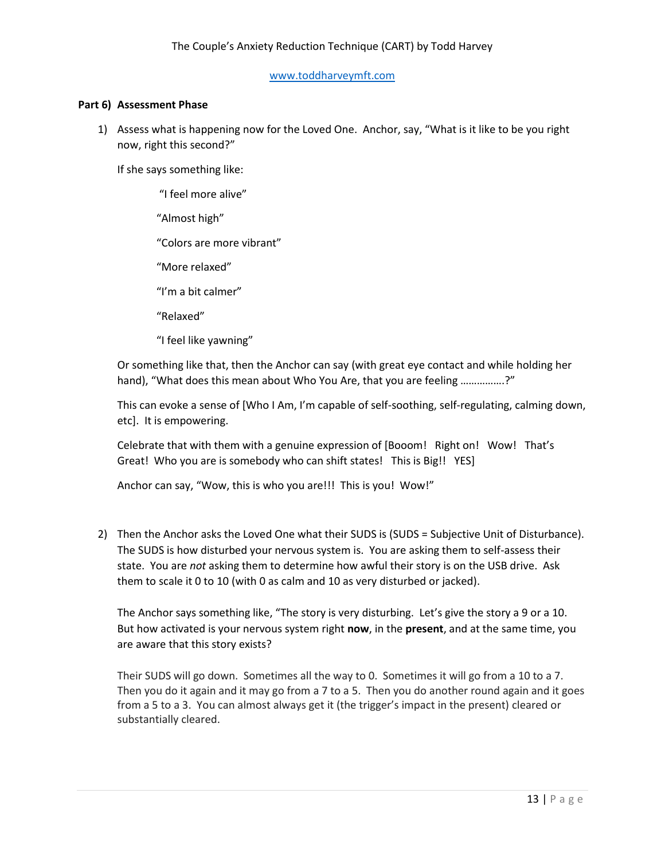#### **Part 6) Assessment Phase**

1) Assess what is happening now for the Loved One. Anchor, say, "What is it like to be you right now, right this second?"

If she says something like:

"I feel more alive" "Almost high" "Colors are more vibrant" "More relaxed" "I'm a bit calmer" "Relaxed"

"I feel like yawning"

Or something like that, then the Anchor can say (with great eye contact and while holding her hand), "What does this mean about Who You Are, that you are feeling ...............?"

This can evoke a sense of [Who I Am, I'm capable of self-soothing, self-regulating, calming down, etc]. It is empowering.

Celebrate that with them with a genuine expression of [Booom! Right on! Wow! That's Great! Who you are is somebody who can shift states! This is Big!! YES]

Anchor can say, "Wow, this is who you are!!! This is you! Wow!"

2) Then the Anchor asks the Loved One what their SUDS is (SUDS = Subjective Unit of Disturbance). The SUDS is how disturbed your nervous system is. You are asking them to self-assess their state. You are *not* asking them to determine how awful their story is on the USB drive. Ask them to scale it 0 to 10 (with 0 as calm and 10 as very disturbed or jacked).

The Anchor says something like, "The story is very disturbing. Let's give the story a 9 or a 10. But how activated is your nervous system right **now**, in the **present**, and at the same time, you are aware that this story exists?

Their SUDS will go down. Sometimes all the way to 0. Sometimes it will go from a 10 to a 7. Then you do it again and it may go from a 7 to a 5. Then you do another round again and it goes from a 5 to a 3. You can almost always get it (the trigger's impact in the present) cleared or substantially cleared.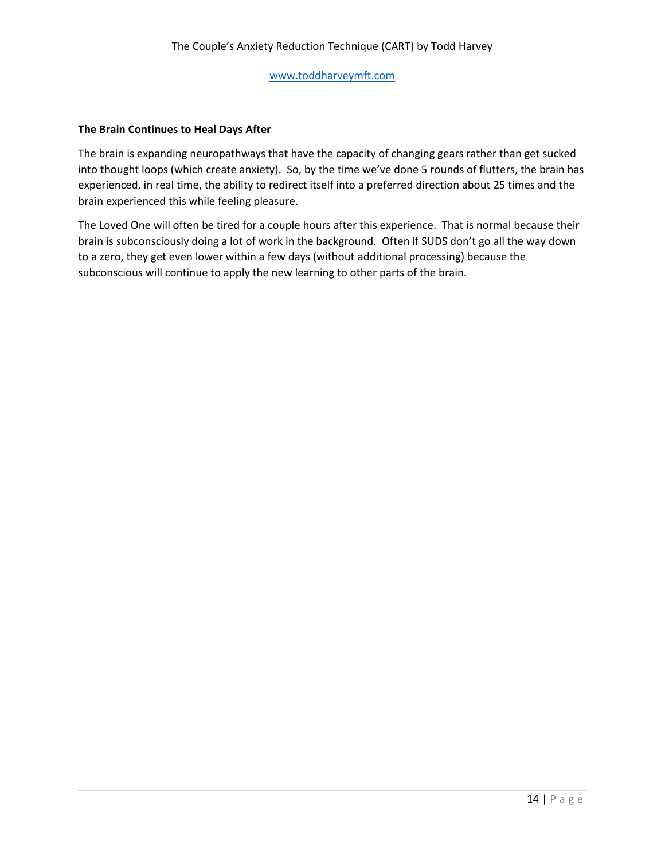#### **The Brain Continues to Heal Days After**

The brain is expanding neuropathways that have the capacity of changing gears rather than get sucked into thought loops (which create anxiety). So, by the time we've done 5 rounds of flutters, the brain has experienced, in real time, the ability to redirect itself into a preferred direction about 25 times and the brain experienced this while feeling pleasure.

The Loved One will often be tired for a couple hours after this experience. That is normal because their brain is subconsciously doing a lot of work in the background. Often if SUDS don't go all the way down to a zero, they get even lower within a few days (without additional processing) because the subconscious will continue to apply the new learning to other parts of the brain.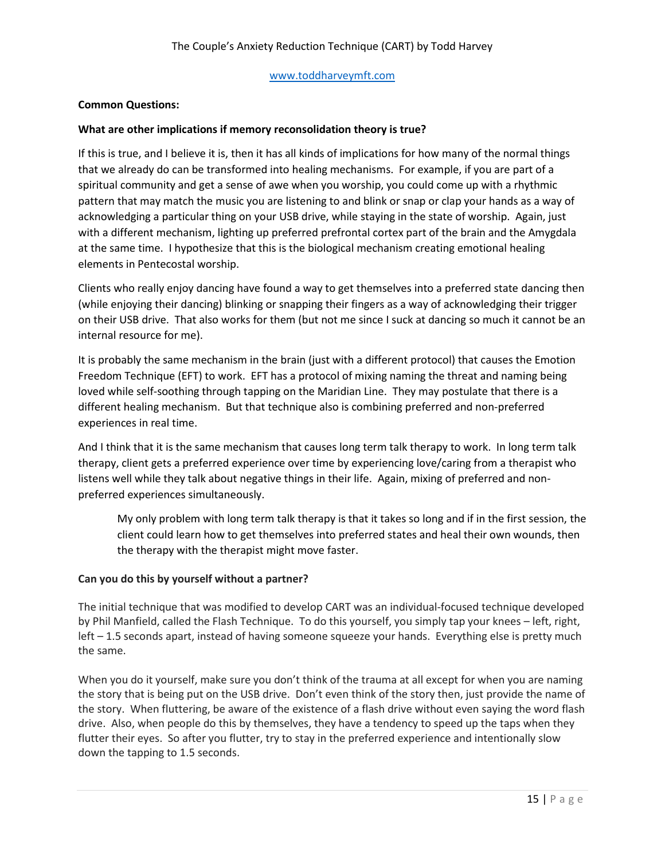# **Common Questions:**

# **What are other implications if memory reconsolidation theory is true?**

If this is true, and I believe it is, then it has all kinds of implications for how many of the normal things that we already do can be transformed into healing mechanisms. For example, if you are part of a spiritual community and get a sense of awe when you worship, you could come up with a rhythmic pattern that may match the music you are listening to and blink or snap or clap your hands as a way of acknowledging a particular thing on your USB drive, while staying in the state of worship. Again, just with a different mechanism, lighting up preferred prefrontal cortex part of the brain and the Amygdala at the same time. I hypothesize that this is the biological mechanism creating emotional healing elements in Pentecostal worship.

Clients who really enjoy dancing have found a way to get themselves into a preferred state dancing then (while enjoying their dancing) blinking or snapping their fingers as a way of acknowledging their trigger on their USB drive. That also works for them (but not me since I suck at dancing so much it cannot be an internal resource for me).

It is probably the same mechanism in the brain (just with a different protocol) that causes the Emotion Freedom Technique (EFT) to work. EFT has a protocol of mixing naming the threat and naming being loved while self-soothing through tapping on the Maridian Line. They may postulate that there is a different healing mechanism. But that technique also is combining preferred and non-preferred experiences in real time.

And I think that it is the same mechanism that causes long term talk therapy to work. In long term talk therapy, client gets a preferred experience over time by experiencing love/caring from a therapist who listens well while they talk about negative things in their life. Again, mixing of preferred and nonpreferred experiences simultaneously.

My only problem with long term talk therapy is that it takes so long and if in the first session, the client could learn how to get themselves into preferred states and heal their own wounds, then the therapy with the therapist might move faster.

## **Can you do this by yourself without a partner?**

The initial technique that was modified to develop CART was an individual-focused technique developed by Phil Manfield, called the Flash Technique. To do this yourself, you simply tap your knees – left, right, left – 1.5 seconds apart, instead of having someone squeeze your hands. Everything else is pretty much the same.

When you do it yourself, make sure you don't think of the trauma at all except for when you are naming the story that is being put on the USB drive. Don't even think of the story then, just provide the name of the story. When fluttering, be aware of the existence of a flash drive without even saying the word flash drive. Also, when people do this by themselves, they have a tendency to speed up the taps when they flutter their eyes. So after you flutter, try to stay in the preferred experience and intentionally slow down the tapping to 1.5 seconds.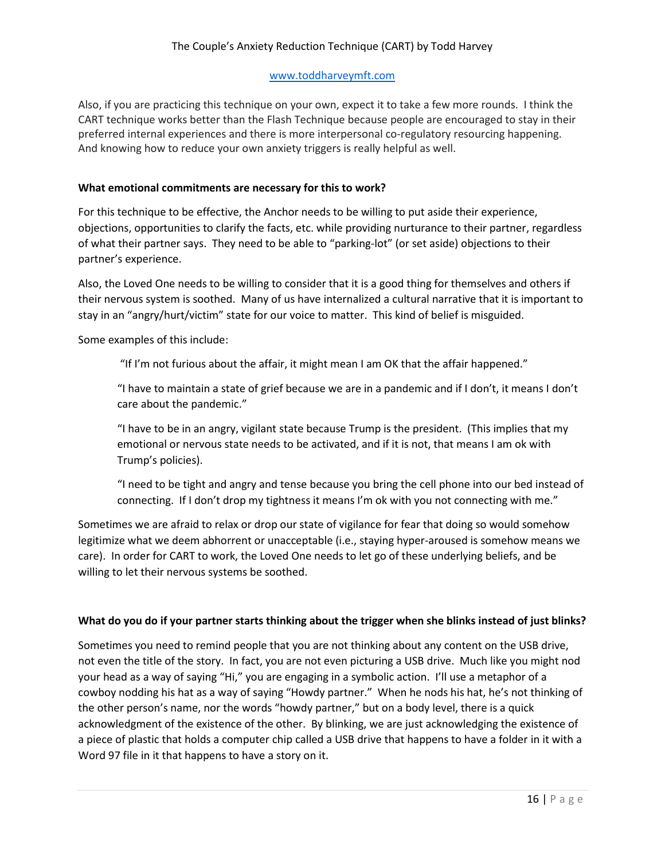# The Couple's Anxiety Reduction Technique (CART) by Todd Harvey

## [www.toddharveymft.com](http://www.toddharveymft.com/)

Also, if you are practicing this technique on your own, expect it to take a few more rounds. I think the CART technique works better than the Flash Technique because people are encouraged to stay in their preferred internal experiences and there is more interpersonal co-regulatory resourcing happening. And knowing how to reduce your own anxiety triggers is really helpful as well.

## **What emotional commitments are necessary for this to work?**

For this technique to be effective, the Anchor needs to be willing to put aside their experience, objections, opportunities to clarify the facts, etc. while providing nurturance to their partner, regardless of what their partner says. They need to be able to "parking-lot" (or set aside) objections to their partner's experience.

Also, the Loved One needs to be willing to consider that it is a good thing for themselves and others if their nervous system is soothed. Many of us have internalized a cultural narrative that it is important to stay in an "angry/hurt/victim" state for our voice to matter. This kind of belief is misguided.

Some examples of this include:

"If I'm not furious about the affair, it might mean I am OK that the affair happened."

"I have to maintain a state of grief because we are in a pandemic and if I don't, it means I don't care about the pandemic."

"I have to be in an angry, vigilant state because Trump is the president. (This implies that my emotional or nervous state needs to be activated, and if it is not, that means I am ok with Trump's policies).

"I need to be tight and angry and tense because you bring the cell phone into our bed instead of connecting. If I don't drop my tightness it means I'm ok with you not connecting with me."

Sometimes we are afraid to relax or drop our state of vigilance for fear that doing so would somehow legitimize what we deem abhorrent or unacceptable (i.e., staying hyper-aroused is somehow means we care). In order for CART to work, the Loved One needs to let go of these underlying beliefs, and be willing to let their nervous systems be soothed.

#### **What do you do if your partner starts thinking about the trigger when she blinks instead of just blinks?**

Sometimes you need to remind people that you are not thinking about any content on the USB drive, not even the title of the story. In fact, you are not even picturing a USB drive. Much like you might nod your head as a way of saying "Hi," you are engaging in a symbolic action. I'll use a metaphor of a cowboy nodding his hat as a way of saying "Howdy partner." When he nods his hat, he's not thinking of the other person's name, nor the words "howdy partner," but on a body level, there is a quick acknowledgment of the existence of the other. By blinking, we are just acknowledging the existence of a piece of plastic that holds a computer chip called a USB drive that happens to have a folder in it with a Word 97 file in it that happens to have a story on it.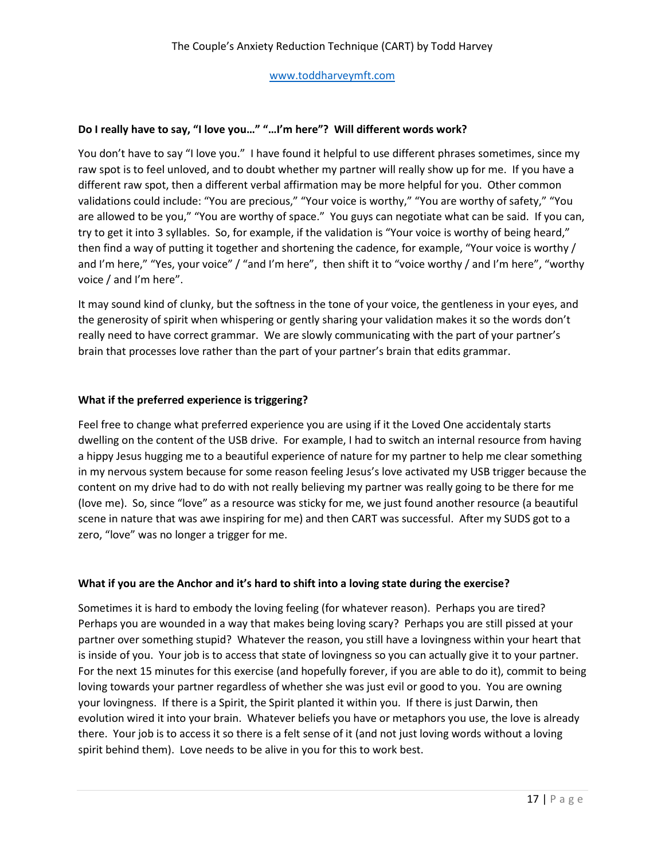# **Do I really have to say, "I love you…" "…I'm here"? Will different words work?**

You don't have to say "I love you." I have found it helpful to use different phrases sometimes, since my raw spot is to feel unloved, and to doubt whether my partner will really show up for me. If you have a different raw spot, then a different verbal affirmation may be more helpful for you. Other common validations could include: "You are precious," "Your voice is worthy," "You are worthy of safety," "You are allowed to be you," "You are worthy of space." You guys can negotiate what can be said. If you can, try to get it into 3 syllables. So, for example, if the validation is "Your voice is worthy of being heard," then find a way of putting it together and shortening the cadence, for example, "Your voice is worthy / and I'm here," "Yes, your voice" / "and I'm here", then shift it to "voice worthy / and I'm here", "worthy voice / and I'm here".

It may sound kind of clunky, but the softness in the tone of your voice, the gentleness in your eyes, and the generosity of spirit when whispering or gently sharing your validation makes it so the words don't really need to have correct grammar. We are slowly communicating with the part of your partner's brain that processes love rather than the part of your partner's brain that edits grammar.

# **What if the preferred experience is triggering?**

Feel free to change what preferred experience you are using if it the Loved One accidentaly starts dwelling on the content of the USB drive. For example, I had to switch an internal resource from having a hippy Jesus hugging me to a beautiful experience of nature for my partner to help me clear something in my nervous system because for some reason feeling Jesus's love activated my USB trigger because the content on my drive had to do with not really believing my partner was really going to be there for me (love me). So, since "love" as a resource was sticky for me, we just found another resource (a beautiful scene in nature that was awe inspiring for me) and then CART was successful. After my SUDS got to a zero, "love" was no longer a trigger for me.

## **What if you are the Anchor and it's hard to shift into a loving state during the exercise?**

Sometimes it is hard to embody the loving feeling (for whatever reason). Perhaps you are tired? Perhaps you are wounded in a way that makes being loving scary? Perhaps you are still pissed at your partner over something stupid? Whatever the reason, you still have a lovingness within your heart that is inside of you. Your job is to access that state of lovingness so you can actually give it to your partner. For the next 15 minutes for this exercise (and hopefully forever, if you are able to do it), commit to being loving towards your partner regardless of whether she was just evil or good to you. You are owning your lovingness. If there is a Spirit, the Spirit planted it within you. If there is just Darwin, then evolution wired it into your brain. Whatever beliefs you have or metaphors you use, the love is already there. Your job is to access it so there is a felt sense of it (and not just loving words without a loving spirit behind them). Love needs to be alive in you for this to work best.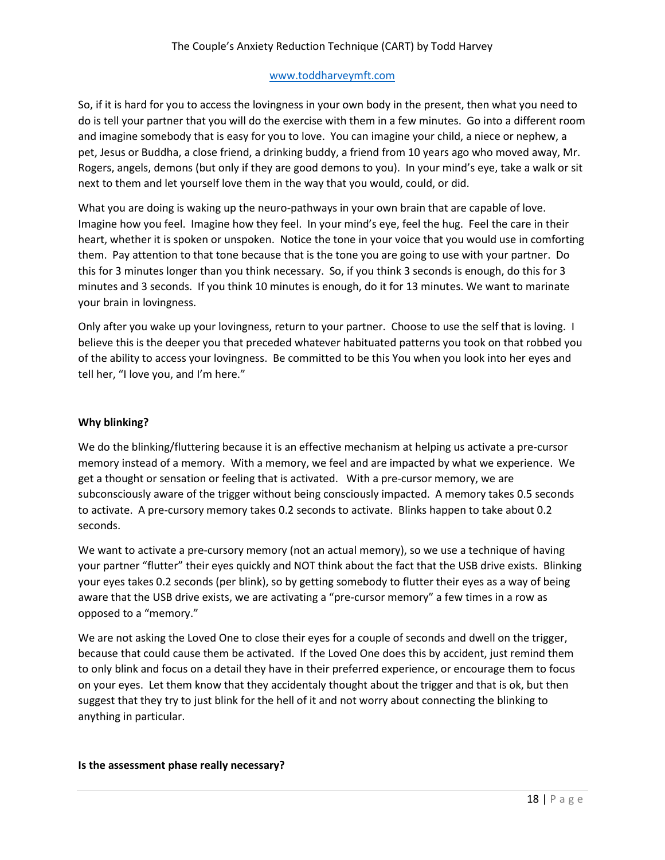# The Couple's Anxiety Reduction Technique (CART) by Todd Harvey

#### [www.toddharveymft.com](http://www.toddharveymft.com/)

So, if it is hard for you to access the lovingness in your own body in the present, then what you need to do is tell your partner that you will do the exercise with them in a few minutes. Go into a different room and imagine somebody that is easy for you to love. You can imagine your child, a niece or nephew, a pet, Jesus or Buddha, a close friend, a drinking buddy, a friend from 10 years ago who moved away, Mr. Rogers, angels, demons (but only if they are good demons to you). In your mind's eye, take a walk or sit next to them and let yourself love them in the way that you would, could, or did.

What you are doing is waking up the neuro-pathways in your own brain that are capable of love. Imagine how you feel. Imagine how they feel. In your mind's eye, feel the hug. Feel the care in their heart, whether it is spoken or unspoken. Notice the tone in your voice that you would use in comforting them. Pay attention to that tone because that is the tone you are going to use with your partner. Do this for 3 minutes longer than you think necessary. So, if you think 3 seconds is enough, do this for 3 minutes and 3 seconds. If you think 10 minutes is enough, do it for 13 minutes. We want to marinate your brain in lovingness.

Only after you wake up your lovingness, return to your partner. Choose to use the self that is loving. I believe this is the deeper you that preceded whatever habituated patterns you took on that robbed you of the ability to access your lovingness. Be committed to be this You when you look into her eyes and tell her, "I love you, and I'm here."

## **Why blinking?**

We do the blinking/fluttering because it is an effective mechanism at helping us activate a pre-cursor memory instead of a memory. With a memory, we feel and are impacted by what we experience. We get a thought or sensation or feeling that is activated. With a pre-cursor memory, we are subconsciously aware of the trigger without being consciously impacted. A memory takes 0.5 seconds to activate. A pre-cursory memory takes 0.2 seconds to activate. Blinks happen to take about 0.2 seconds.

We want to activate a pre-cursory memory (not an actual memory), so we use a technique of having your partner "flutter" their eyes quickly and NOT think about the fact that the USB drive exists. Blinking your eyes takes 0.2 seconds (per blink), so by getting somebody to flutter their eyes as a way of being aware that the USB drive exists, we are activating a "pre-cursor memory" a few times in a row as opposed to a "memory."

We are not asking the Loved One to close their eyes for a couple of seconds and dwell on the trigger, because that could cause them be activated. If the Loved One does this by accident, just remind them to only blink and focus on a detail they have in their preferred experience, or encourage them to focus on your eyes. Let them know that they accidentaly thought about the trigger and that is ok, but then suggest that they try to just blink for the hell of it and not worry about connecting the blinking to anything in particular.

## **Is the assessment phase really necessary?**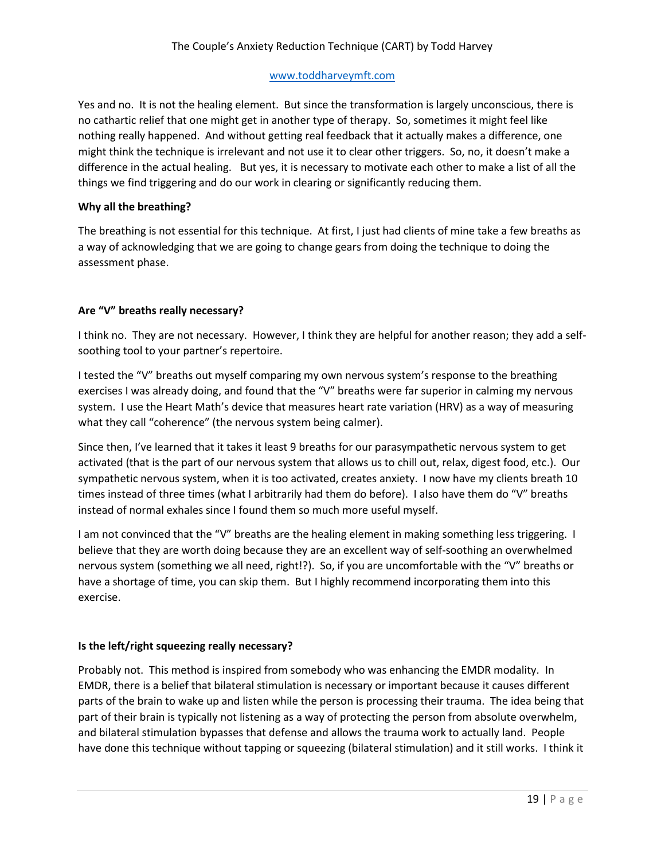Yes and no. It is not the healing element. But since the transformation is largely unconscious, there is no cathartic relief that one might get in another type of therapy. So, sometimes it might feel like nothing really happened. And without getting real feedback that it actually makes a difference, one might think the technique is irrelevant and not use it to clear other triggers. So, no, it doesn't make a difference in the actual healing. But yes, it is necessary to motivate each other to make a list of all the things we find triggering and do our work in clearing or significantly reducing them.

# **Why all the breathing?**

The breathing is not essential for this technique. At first, I just had clients of mine take a few breaths as a way of acknowledging that we are going to change gears from doing the technique to doing the assessment phase.

# **Are "V" breaths really necessary?**

I think no. They are not necessary. However, I think they are helpful for another reason; they add a selfsoothing tool to your partner's repertoire.

I tested the "V" breaths out myself comparing my own nervous system's response to the breathing exercises I was already doing, and found that the "V" breaths were far superior in calming my nervous system. I use the Heart Math's device that measures heart rate variation (HRV) as a way of measuring what they call "coherence" (the nervous system being calmer).

Since then, I've learned that it takes it least 9 breaths for our parasympathetic nervous system to get activated (that is the part of our nervous system that allows us to chill out, relax, digest food, etc.). Our sympathetic nervous system, when it is too activated, creates anxiety. I now have my clients breath 10 times instead of three times (what I arbitrarily had them do before). I also have them do "V" breaths instead of normal exhales since I found them so much more useful myself.

I am not convinced that the "V" breaths are the healing element in making something less triggering. I believe that they are worth doing because they are an excellent way of self-soothing an overwhelmed nervous system (something we all need, right!?). So, if you are uncomfortable with the "V" breaths or have a shortage of time, you can skip them. But I highly recommend incorporating them into this exercise.

# **Is the left/right squeezing really necessary?**

Probably not. This method is inspired from somebody who was enhancing the EMDR modality. In EMDR, there is a belief that bilateral stimulation is necessary or important because it causes different parts of the brain to wake up and listen while the person is processing their trauma. The idea being that part of their brain is typically not listening as a way of protecting the person from absolute overwhelm, and bilateral stimulation bypasses that defense and allows the trauma work to actually land. People have done this technique without tapping or squeezing (bilateral stimulation) and it still works. I think it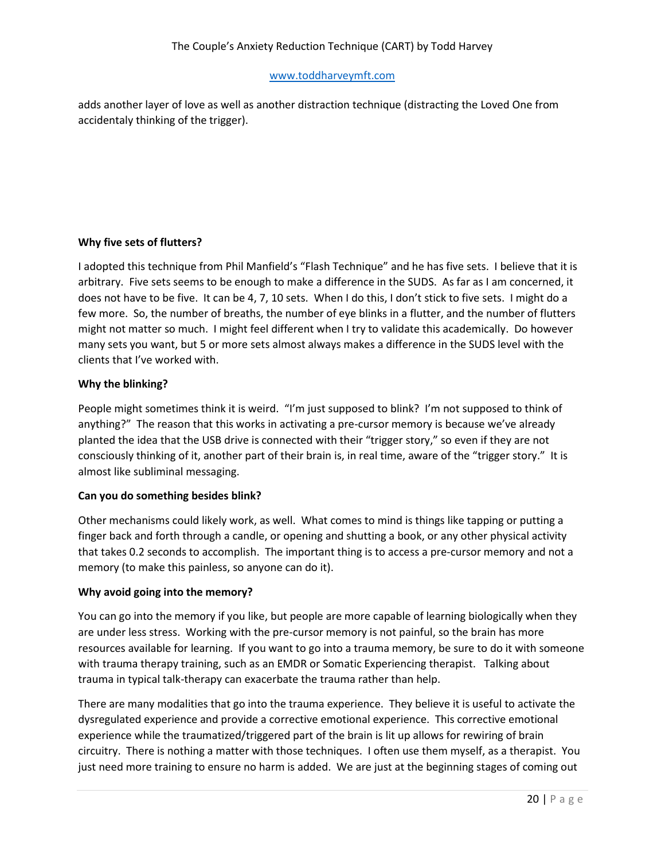adds another layer of love as well as another distraction technique (distracting the Loved One from accidentaly thinking of the trigger).

# **Why five sets of flutters?**

I adopted this technique from Phil Manfield's "Flash Technique" and he has five sets. I believe that it is arbitrary. Five sets seems to be enough to make a difference in the SUDS. As far as I am concerned, it does not have to be five. It can be 4, 7, 10 sets. When I do this, I don't stick to five sets. I might do a few more. So, the number of breaths, the number of eye blinks in a flutter, and the number of flutters might not matter so much. I might feel different when I try to validate this academically. Do however many sets you want, but 5 or more sets almost always makes a difference in the SUDS level with the clients that I've worked with.

# **Why the blinking?**

People might sometimes think it is weird. "I'm just supposed to blink? I'm not supposed to think of anything?" The reason that this works in activating a pre-cursor memory is because we've already planted the idea that the USB drive is connected with their "trigger story," so even if they are not consciously thinking of it, another part of their brain is, in real time, aware of the "trigger story." It is almost like subliminal messaging.

## **Can you do something besides blink?**

Other mechanisms could likely work, as well. What comes to mind is things like tapping or putting a finger back and forth through a candle, or opening and shutting a book, or any other physical activity that takes 0.2 seconds to accomplish. The important thing is to access a pre-cursor memory and not a memory (to make this painless, so anyone can do it).

## **Why avoid going into the memory?**

You can go into the memory if you like, but people are more capable of learning biologically when they are under less stress. Working with the pre-cursor memory is not painful, so the brain has more resources available for learning. If you want to go into a trauma memory, be sure to do it with someone with trauma therapy training, such as an EMDR or Somatic Experiencing therapist. Talking about trauma in typical talk-therapy can exacerbate the trauma rather than help.

There are many modalities that go into the trauma experience. They believe it is useful to activate the dysregulated experience and provide a corrective emotional experience. This corrective emotional experience while the traumatized/triggered part of the brain is lit up allows for rewiring of brain circuitry. There is nothing a matter with those techniques. I often use them myself, as a therapist. You just need more training to ensure no harm is added. We are just at the beginning stages of coming out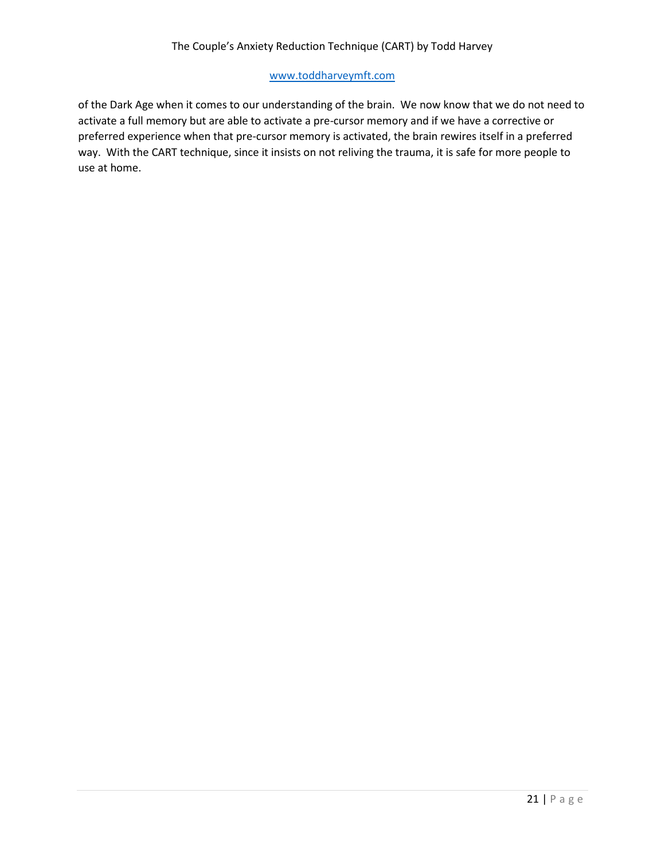of the Dark Age when it comes to our understanding of the brain. We now know that we do not need to activate a full memory but are able to activate a pre-cursor memory and if we have a corrective or preferred experience when that pre-cursor memory is activated, the brain rewires itself in a preferred way. With the CART technique, since it insists on not reliving the trauma, it is safe for more people to use at home.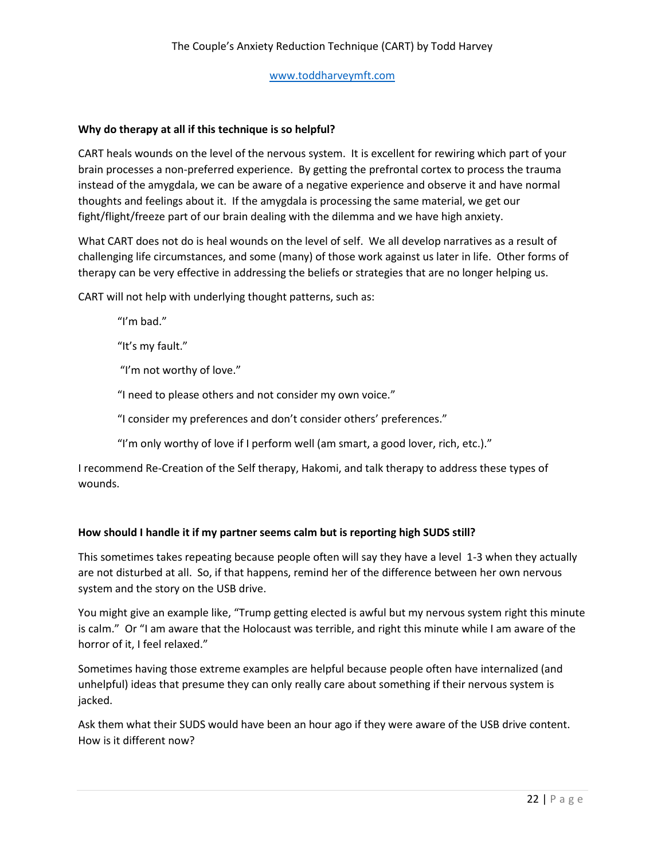## **Why do therapy at all if this technique is so helpful?**

CART heals wounds on the level of the nervous system. It is excellent for rewiring which part of your brain processes a non-preferred experience. By getting the prefrontal cortex to process the trauma instead of the amygdala, we can be aware of a negative experience and observe it and have normal thoughts and feelings about it. If the amygdala is processing the same material, we get our fight/flight/freeze part of our brain dealing with the dilemma and we have high anxiety.

What CART does not do is heal wounds on the level of self. We all develop narratives as a result of challenging life circumstances, and some (many) of those work against us later in life. Other forms of therapy can be very effective in addressing the beliefs or strategies that are no longer helping us.

CART will not help with underlying thought patterns, such as:

"I'm bad."

"It's my fault."

"I'm not worthy of love."

"I need to please others and not consider my own voice."

"I consider my preferences and don't consider others' preferences."

"I'm only worthy of love if I perform well (am smart, a good lover, rich, etc.)."

I recommend Re-Creation of the Self therapy, Hakomi, and talk therapy to address these types of wounds.

## **How should I handle it if my partner seems calm but is reporting high SUDS still?**

This sometimes takes repeating because people often will say they have a level 1-3 when they actually are not disturbed at all. So, if that happens, remind her of the difference between her own nervous system and the story on the USB drive.

You might give an example like, "Trump getting elected is awful but my nervous system right this minute is calm." Or "I am aware that the Holocaust was terrible, and right this minute while I am aware of the horror of it, I feel relaxed."

Sometimes having those extreme examples are helpful because people often have internalized (and unhelpful) ideas that presume they can only really care about something if their nervous system is jacked.

Ask them what their SUDS would have been an hour ago if they were aware of the USB drive content. How is it different now?